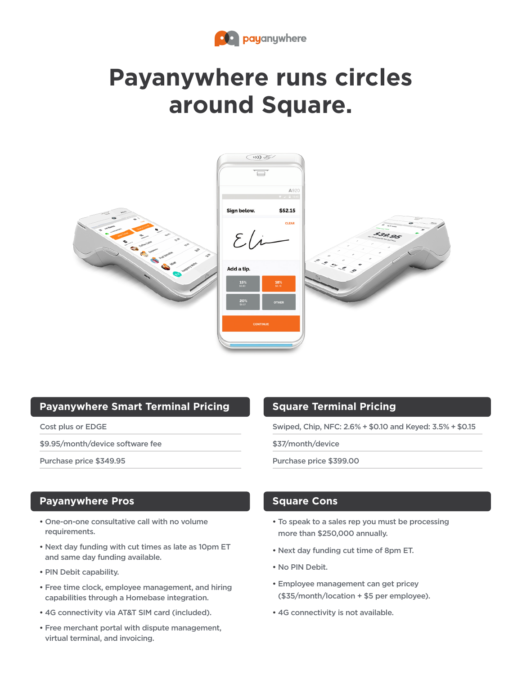

# **Payanywhere runs circles around Square.**



## **Payanywhere Smart Terminal Pricing**

Cost plus or EDGE

\$9.95/month/device software fee

Purchase price \$349.95

### **Payanywhere Pros**

- One-on-one consultative call with no volume requirements.
- Next day funding with cut times as late as 10pm ET and same day funding available.
- PIN Debit capability.
- Free time clock, employee management, and hiring capabilities through a Homebase integration.
- 4G connectivity via AT&T SIM card (included).
- Free merchant portal with dispute management, virtual terminal, and invoicing.

### **Square Terminal Pricing**

Swiped, Chip, NFC: 2.6% + \$0.10 and Keyed: 3.5% + \$0.15

\$37/month/device

Purchase price \$399.00

### **Square Cons**

- To speak to a sales rep you must be processing more than \$250,000 annually.
- Next day funding cut time of 8pm ET.
- No PIN Debit.
- Employee management can get pricey (\$35/month/location + \$5 per employee).
- 4G connectivity is not available.